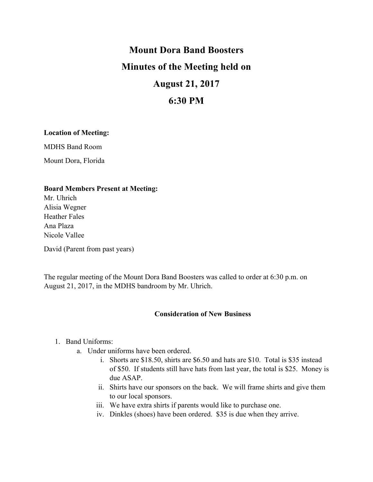# **Mount Dora Band Boosters Minutes of the Meeting held on August 21, 2017**

# **6:30 PM**

### **Location of Meeting:**

MDHS Band Room

Mount Dora, Florida

### **Board Members Present at Meeting:**

Mr. Uhrich Alisia Wegner Heather Fales Ana Plaza Nicole Vallee

David (Parent from past years)

The regular meeting of the Mount Dora Band Boosters was called to order at 6:30 p.m. on August 21, 2017, in the MDHS bandroom by Mr. Uhrich.

### **Consideration of New Business**

## 1. Band Uniforms:

- a. Under uniforms have been ordered.
	- i. Shorts are \$18.50, shirts are \$6.50 and hats are \$10. Total is \$35 instead of \$50. If students still have hats from last year, the total is \$25. Money is due ASAP.
	- ii. Shirts have our sponsors on the back. We will frame shirts and give them to our local sponsors.
	- iii. We have extra shirts if parents would like to purchase one.
	- iv. Dinkles (shoes) have been ordered. \$35 is due when they arrive.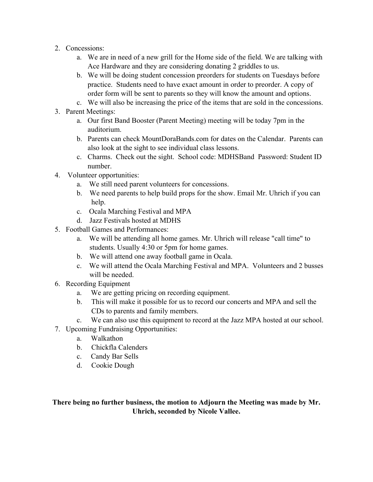- 2. Concessions:
	- a. We are in need of a new grill for the Home side of the field. We are talking with Ace Hardware and they are considering donating 2 griddles to us.
	- b. We will be doing student concession preorders for students on Tuesdays before practice. Students need to have exact amount in order to preorder. A copy of order form will be sent to parents so they will know the amount and options.
	- c. We will also be increasing the price of the items that are sold in the concessions.
- 3. Parent Meetings:
	- a. Our first Band Booster (Parent Meeting) meeting will be today 7pm in the auditorium.
	- b. Parents can check MountDoraBands.com for dates on the Calendar. Parents can also look at the sight to see individual class lessons.
	- c. Charms. Check out the sight. School code: MDHSBand Password: Student ID number.
- 4. Volunteer opportunities:
	- a. We still need parent volunteers for concessions.
	- b. We need parents to help build props for the show. Email Mr. Uhrich if you can help.
	- c. Ocala Marching Festival and MPA
	- d. Jazz Festivals hosted at MDHS
- 5. Football Games and Performances:
	- a. We will be attending all home games. Mr. Uhrich will release "call time" to students. Usually 4:30 or 5pm for home games.
	- b. We will attend one away football game in Ocala.
	- c. We will attend the Ocala Marching Festival and MPA. Volunteers and 2 busses will be needed.
- 6. Recording Equipment
	- a. We are getting pricing on recording equipment.
	- b. This will make it possible for us to record our concerts and MPA and sell the CDs to parents and family members.
	- c. We can also use this equipment to record at the Jazz MPA hosted at our school.
- 7. Upcoming Fundraising Opportunities:
	- a. Walkathon
	- b. Chickfla Calenders
	- c. Candy Bar Sells
	- d. Cookie Dough

**There being no further business, the motion to Adjourn the Meeting was made by Mr. Uhrich, seconded by Nicole Vallee.**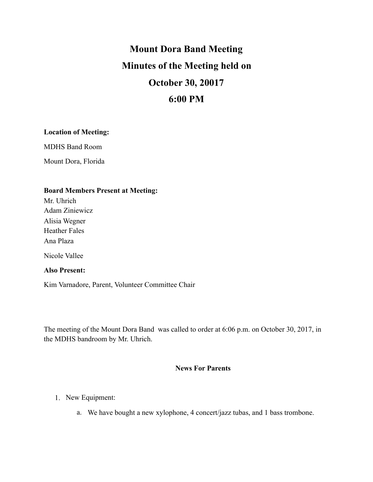# **Mount Dora Band Meeting Minutes of the Meeting held on October 30, 20017 6:00 PM**

## **Location of Meeting:**

MDHS Band Room

Mount Dora, Florida

## **Board Members Present at Meeting:**

Mr. Uhrich Adam Ziniewicz Alisia Wegner Heather Fales Ana Plaza

Nicole Vallee

### **Also Present:**

Kim Varnadore, Parent, Volunteer Committee Chair

The meeting of the Mount Dora Band was called to order at 6:06 p.m. on October 30, 2017, in the MDHS bandroom by Mr. Uhrich.

### **News For Parents**

- 1. New Equipment:
	- a. We have bought a new xylophone, 4 concert/jazz tubas, and 1 bass trombone.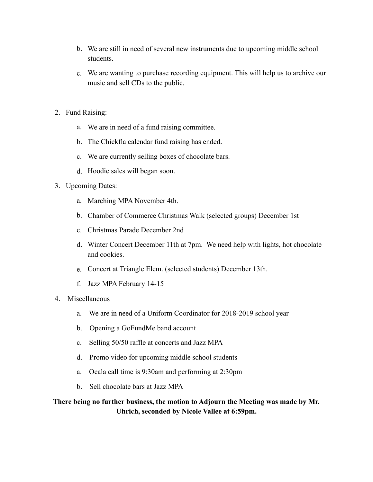- b. We are still in need of several new instruments due to upcoming middle school students.
- c. We are wanting to purchase recording equipment. This will help us to archive our music and sell CDs to the public.
- 2. Fund Raising:
	- a. We are in need of a fund raising committee.
	- b. The Chickfla calendar fund raising has ended.
	- c. We are currently selling boxes of chocolate bars.
	- d. Hoodie sales will began soon.
- 3. Upcoming Dates:
	- a. Marching MPA November 4th.
	- b. Chamber of Commerce Christmas Walk (selected groups) December 1st
	- c. Christmas Parade December 2nd
	- d. Winter Concert December 11th at 7pm. We need help with lights, hot chocolate and cookies.
	- e. Concert at Triangle Elem. (selected students) December 13th.
	- f. Jazz MPA February 14-15
- 4. Miscellaneous
	- a. We are in need of a Uniform Coordinator for 2018-2019 school year
	- b. Opening a GoFundMe band account
	- c. Selling 50/50 raffle at concerts and Jazz MPA
	- d. Promo video for upcoming middle school students
	- a. Ocala call time is 9:30am and performing at 2:30pm
	- b. Sell chocolate bars at Jazz MPA

**There being no further business, the motion to Adjourn the Meeting was made by Mr. Uhrich, seconded by Nicole Vallee at 6:59pm.**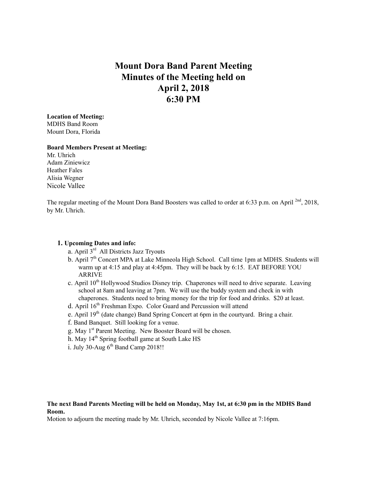# **Mount Dora Band Parent Meeting Minutes of the Meeting held on April 2, 2018 6:30 PM**

**Location of Meeting:** MDHS Band Room Mount Dora, Florida

#### **Board Members Present at Meeting:**

Mr. Uhrich Adam Ziniewicz Heather Fales Alisia Wegner Nicole Vallee

The regular meeting of the Mount Dora Band Boosters was called to order at 6:33 p.m. on April <sup>2nd</sup>, 2018, by Mr. Uhrich.

#### **1. Upcoming Dates and info:**

- a. April 3rd All Districts Jazz Tryouts
- b. April  $7<sup>th</sup>$  Concert MPA at Lake Minneola High School. Call time 1pm at MDHS. Students will warm up at 4:15 and play at 4:45pm. They will be back by 6:15. EAT BEFORE YOU ARRIVE
- c. April 10<sup>th</sup> Hollywood Studios Disney trip. Chaperones will need to drive separate. Leaving school at 8am and leaving at 7pm. We will use the buddy system and check in with chaperones. Students need to bring money for the trip for food and drinks. \$20 at least.
- d. April 16<sup>th</sup> Freshman Expo. Color Guard and Percussion will attend
- e. April 19<sup>th</sup> (date change) Band Spring Concert at 6pm in the courtyard. Bring a chair.
- f. Band Banquet. Still looking for a venue.
- g. May 1<sup>st</sup> Parent Meeting. New Booster Board will be chosen.
- h. May 14<sup>th</sup> Spring football game at South Lake HS
- i. July 30-Aug  $6^{th}$  Band Camp 2018!!

#### **The next Band Parents Meeting will be held on Monday, May 1st, at 6:30 pm in the MDHS Band Room.**

Motion to adjourn the meeting made by Mr. Uhrich, seconded by Nicole Vallee at 7:16pm.